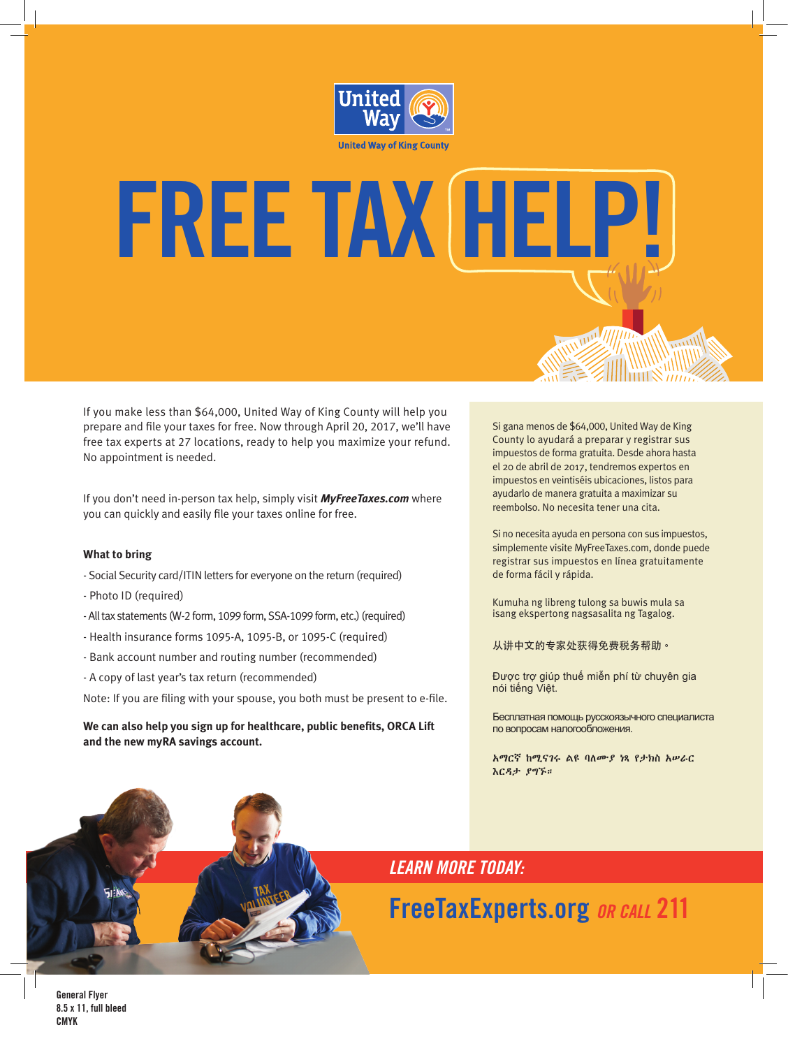

**FREE TAX HELP!**

# If you make less than \$64,000, United Way of King County will help you prepare and file your taxes for free. Now through April 20, 2017, we'll have free tax experts at 27 locations, ready to help you maximize your refund.

If you don't need in-person tax help, simply visit *MyFreeTaxes.com* where you can quickly and easily file your taxes online for free.

# **What to bring**

- Social Security card/ITIN letters for everyone on the return (required)
- Photo ID (required)

No appointment is needed.

- All tax statements (W-2 form, 1099 form, SSA-1099 form, etc.) (required)
- Health insurance forms 1095-A, 1095-B, or 1095-C (required)
- Bank account number and routing number (recommended)
- A copy of last year's tax return (recommended)

Note: If you are filing with your spouse, you both must be present to e-file.

**We can also help you sign up for healthcare, public benefits, ORCA Lift and the new myRA savings account.**

Si gana menos de \$64,000, United Way de King County lo ayudará a preparar y registrar sus impuestos de forma gratuita. Desde ahora hasta el 20 de abril de 2017, tendremos expertos en impuestos en veintiséis ubicaciones, listos para ayudarlo de manera gratuita a maximizar su reembolso. No necesita tener una cita.

Si no necesita ayuda en persona con sus impuestos, simplemente visite MyFreeTaxes.com, donde puede registrar sus impuestos en línea gratuitamente de forma fácil y rápida.

Kumuha ng libreng tulong sa buwis mula sa isang ekspertong nagsasalita ng Tagalog.

从讲中文的专家处获得免费税务帮助。

Được trợ giúp thuế miễn phí từ chuyên gia nói tiếng Việt.

Бесплатная помощь русскоязычного специалиста по вопросам налогообложения.

አማርኛ ከሚናገሩ ልዩ ባለሙያ ነጻ የታክስ አሠራር እርዳታ ያግኙ።

*LEARN MORE TODAY:*

**FreeTaxExperts.org** *OR CALL* **211**